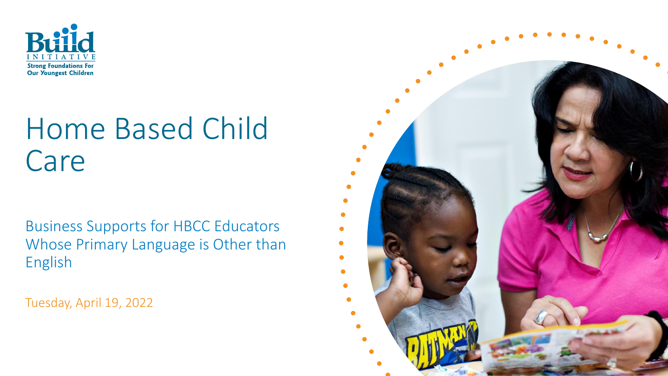

# Home Based Child Care

Business Supports for HBCC Educators Whose Primary Language is Other than English

Tuesday, April 19, 2022

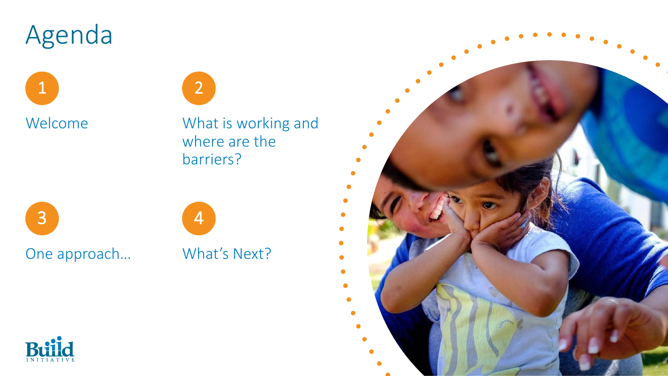## Agenda



Welcome What is working and where are the 2

One approach... What's Next? 3 4



barriers?



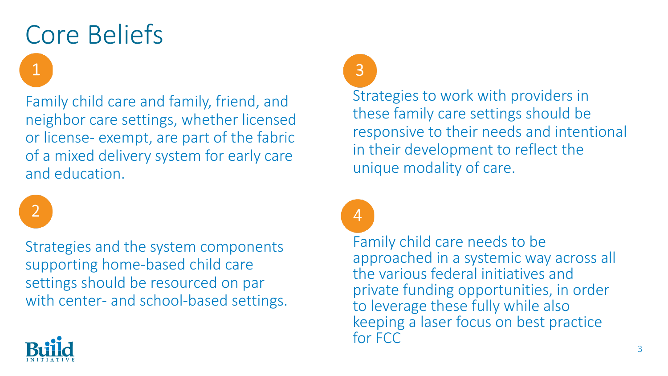### Core Beliefs

Family child care and family, friend, and neighbor care settings, whether licensed or license- exempt, are part of the fabric of a mixed delivery system for early care and education.



Strategies and the system components supporting home-based child care settings should be resourced on par with center- and school-based settings.



Strategies to work with providers in these family care settings should be responsive to their needs and intentional in their development to reflect the unique modality of care.

4

Family child care needs to be approached in a systemic way across all the various federal initiatives and private funding opportunities, in order to leverage these fully while also keeping a laser focus on best practice for FCC

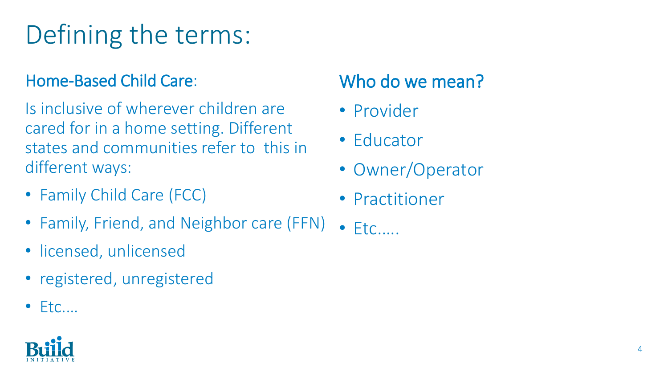# Defining the terms:

#### Home-Based Child Care:

Is inclusive of wherever children are cared for in a home setting. Different states and communities refer to this in different ways:

- Family Child Care (FCC)
- Family, Friend, and Neighbor care (FFN)
- licensed, unlicensed
- registered, unregistered
- $\bullet$  Etc....

#### Who do we mean?

- Provider
- Educator
- Owner/Operator
- Practitioner
- $\bullet$  Ftc....

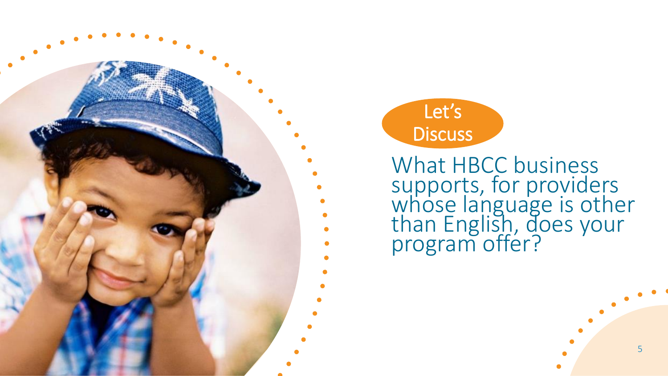



What HBCC business supports, for providers whose language is other than English, does your program offer?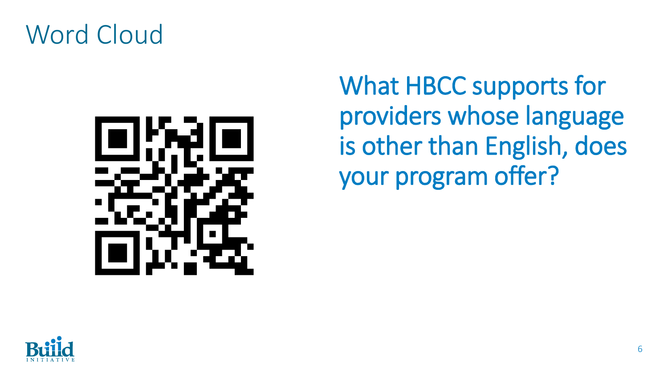### Word Cloud



What HBCC supports for providers whose language is other than English, does your program offer?

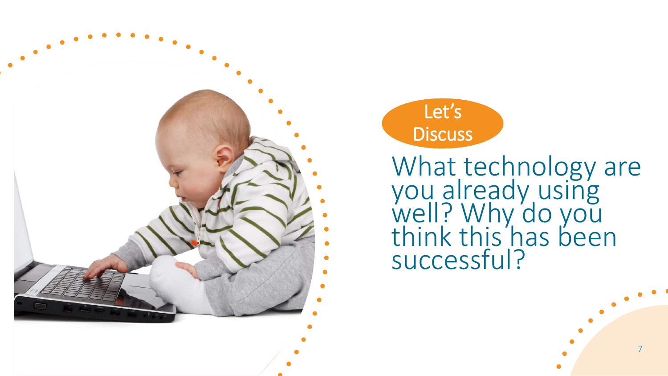



What technology are you already using well? Why do you think this has been successful?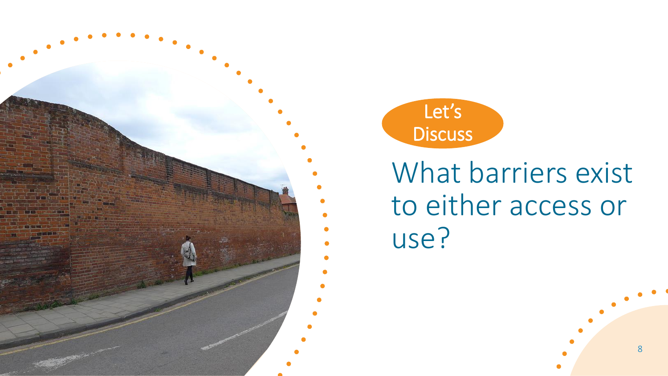



## What barriers exist to either access or use?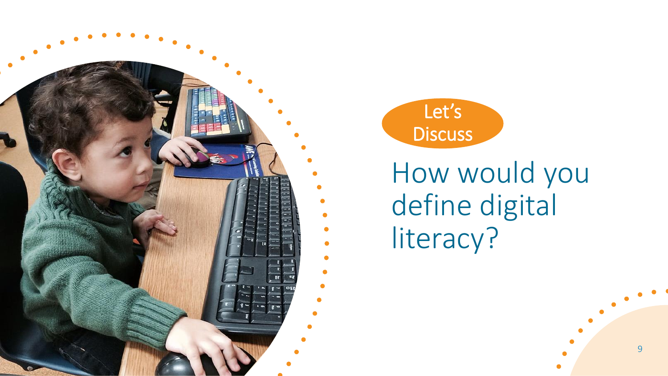



How would you define digital literacy?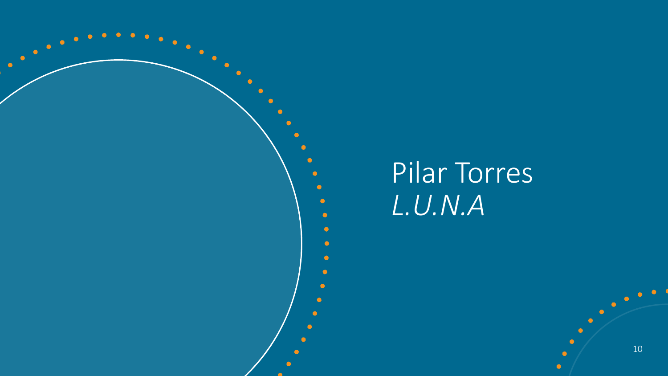

# Pilar Torres *L.U.N.A*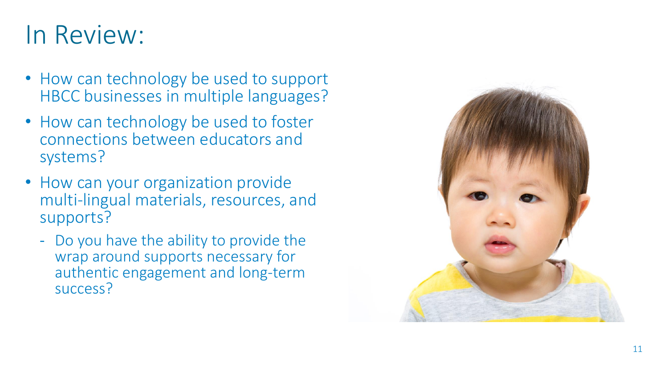## In Review:

- How can technology be used to support HBCC businesses in multiple languages?
- How can technology be used to foster connections between educators and systems?
- How can your organization provide multi -lingual materials, resources, and supports?
	- Do you have the ability to provide the wrap around supports necessary for authentic engagement and long -term success?

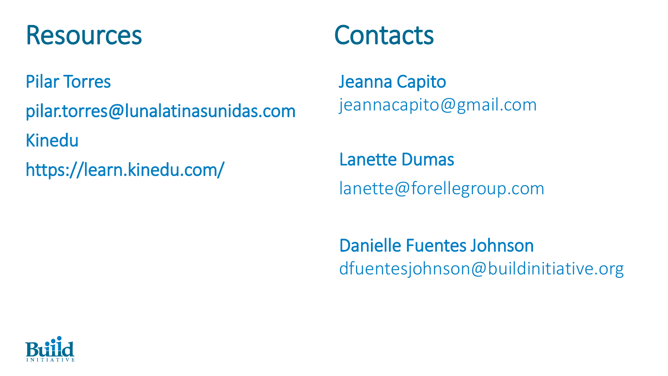### Resources

Pilar Torres pilar.torres@lunalatinasunidas.com Kinedu https://learn.kinedu.com/

### **Contacts**

Jeanna Capito jeannacapito@gmail.com

Lanette Dumas lanette@forellegroup.com

Danielle Fuentes Johnson dfuentesjohnson@buildinitiative.org